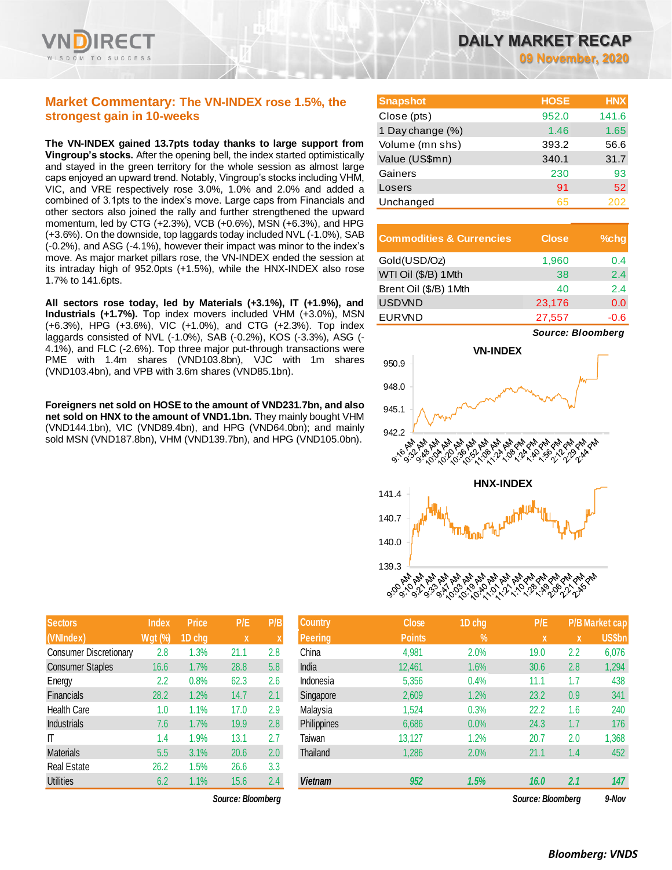

# **Market Commentary: The VN-INDEX rose 1.5%, the strongest gain in 10-weeks**

**The VN-INDEX gained 13.7pts today thanks to large support from Vingroup's stocks.** After the opening bell, the index started optimistically and stayed in the green territory for the whole session as almost large caps enjoyed an upward trend. Notably, Vingroup's stocks including VHM, VIC, and VRE respectively rose 3.0%, 1.0% and 2.0% and added a combined of 3.1pts to the index's move. Large caps from Financials and other sectors also joined the rally and further strengthened the upward momentum, led by CTG (+2.3%), VCB (+0.6%), MSN (+6.3%), and HPG (+3.6%). On the downside, top laggards today included NVL (-1.0%), SAB (-0.2%), and ASG (-4.1%), however their impact was minor to the index's move. As major market pillars rose, the VN-INDEX ended the session at its intraday high of 952.0pts (+1.5%), while the HNX-INDEX also rose 1.7% to 141.6pts.

**All sectors rose today, led by Materials (+3.1%), IT (+1.9%), and Industrials (+1.7%).** Top index movers included VHM (+3.0%), MSN (+6.3%), HPG (+3.6%), VIC (+1.0%), and CTG (+2.3%). Top index laggards consisted of NVL (-1.0%), SAB (-0.2%), KOS (-3.3%), ASG (- 4.1%), and FLC (-2.6%). Top three major put-through transactions were PME with 1.4m shares (VND103.8bn), VJC with 1m shares (VND103.4bn), and VPB with 3.6m shares (VND85.1bn).

**Foreigners net sold on HOSE to the amount of VND231.7bn, and also net sold on HNX to the amount of VND1.1bn.** They mainly bought VHM (VND144.1bn), VIC (VND89.4bn), and HPG (VND64.0bn); and mainly sold MSN (VND187.8bn), VHM (VND139.7bn), and HPG (VND105.0bn).

| DAILY MARKET RECAP |  |                          |  |
|--------------------|--|--------------------------|--|
|                    |  | <b>09 November, 2020</b> |  |

| <b>Snapshot</b>  | <b>HOSE</b> | <b>HNX</b> |
|------------------|-------------|------------|
| Close (pts)      | 952.0       | 141.6      |
| 1 Day change (%) | 1.46        | 1.65       |
| Volume (mn shs)  | 393.2       | 56.6       |
| Value (US\$mn)   | 340.1       | 31.7       |
| Gainers          | 230         | 93         |
| Losers           | 91          | 52         |
| Unchanged        | 65          | 202        |

| <b>Commodities &amp; Currencies</b> | <b>Close</b> | $%$ chg |
|-------------------------------------|--------------|---------|
| Gold(USD/Oz)                        | 1,960        | 0.4     |
| WTI Oil (\$/B) 1 Mth                | 38           | 2.4     |
| Brent Oil (\$/B) 1Mth               | 40           | 2.4     |
| <b>USDVND</b>                       | 23,176       | 0.0     |
| <b>EURVND</b>                       | 27,557       | -0.6    |



| <b>Sectors</b>                | <b>Index</b>   | <b>Price</b> | P/E  | P/B |
|-------------------------------|----------------|--------------|------|-----|
| (VNIndex)                     | <b>Wgt (%)</b> | 1D chg       | X    | X   |
| <b>Consumer Discretionary</b> | 2.8            | 1.3%         | 21.1 | 2.8 |
| <b>Consumer Staples</b>       | 16.6           | 1.7%         | 28.8 | 5.8 |
| Energy                        | 2.2            | 0.8%         | 62.3 | 2.6 |
| <b>Financials</b>             | 28.2           | 1.2%         | 14.7 | 2.1 |
| <b>Health Care</b>            | 1.0            | 1.1%         | 17.0 | 2.9 |
| <b>Industrials</b>            | 7.6            | 1.7%         | 19.9 | 2.8 |
| IT                            | 1.4            | 1.9%         | 13.1 | 2.7 |
| <b>Materials</b>              | 5.5            | 3.1%         | 20.6 | 2.0 |
| <b>Real Estate</b>            | 26.2           | 1.5%         | 26.6 | 3.3 |
| <b>Utilities</b>              | 6.2            | 1.1%         | 15.6 | 2.4 |

| <b>Sectors</b>          | Index          | <b>Price</b>             | P/E  | P/B | <b>Country</b> | <b>Close</b>  | 1D chg | P/E             |     | <b>P/B Market cap</b> |
|-------------------------|----------------|--------------------------|------|-----|----------------|---------------|--------|-----------------|-----|-----------------------|
| (VNIndex)               | <b>Wgt (%)</b> | 1D chg                   | X    |     | <b>Peering</b> | <b>Points</b> | $\%$   | X               | X   | US\$bn                |
| Consumer Discretionary  | 2.8            | $1.3\%$                  | 21.1 | 2.8 | China          | 4,981         | 2.0%   | 19.0            | 2.2 | 6,076                 |
| <b>Consumer Staples</b> | 16.6           | 1.7%                     | 28.8 | 5.8 | India          | 12,461        | 1.6%   | 30.6            | 2.8 | 1,294                 |
| Energy                  | 2.2            | 0.8%                     | 62.3 | 2.6 | Indonesia      | 5,356         | 0.4%   | 11.1            | 1.7 | 438                   |
| Financials              | 28.2           | 1.2%                     | 14.7 | 2.1 | Singapore      | 2,609         | 1.2%   | 23.2            | 0.9 | 341                   |
| <b>Health Care</b>      | 1.0            | 1.1%                     | 17.0 | 2.9 | Malaysia       | 1,524         | 0.3%   | 22.2            | 1.6 | 240                   |
| Industrials             | 7.6            | 1.7%                     | 19.9 | 2.8 | Philippines    | 6,686         | 0.0%   | 24.3            | 1.7 | 176                   |
| Τ                       | 1.4            | 1.9%                     | 13.1 | 2.7 | Taiwan         | 13,127        | 1.2%   | 20.7            | 2.0 | 1,368                 |
| Materials               | 5.5            | 3.1%                     | 20.6 | 2.0 | Thailand       | 1,286         | 2.0%   | 21.1            | 1.4 | 452                   |
| Real Estate             | 26.2           | 1.5%                     | 26.6 | 3.3 |                |               |        |                 |     |                       |
| <b>Utilities</b>        | 6.2            | 1.1%                     | 15.6 | 2.4 | <b>Vietnam</b> | 952           | 1.5%   | 16.0            | 2.1 | 147                   |
|                         |                | $\overline{\phantom{a}}$ | --   |     |                |               |        | $\bullet$<br>-- |     | .                     |

*Source: Bloomberg Source: Bloomberg 9-Nov*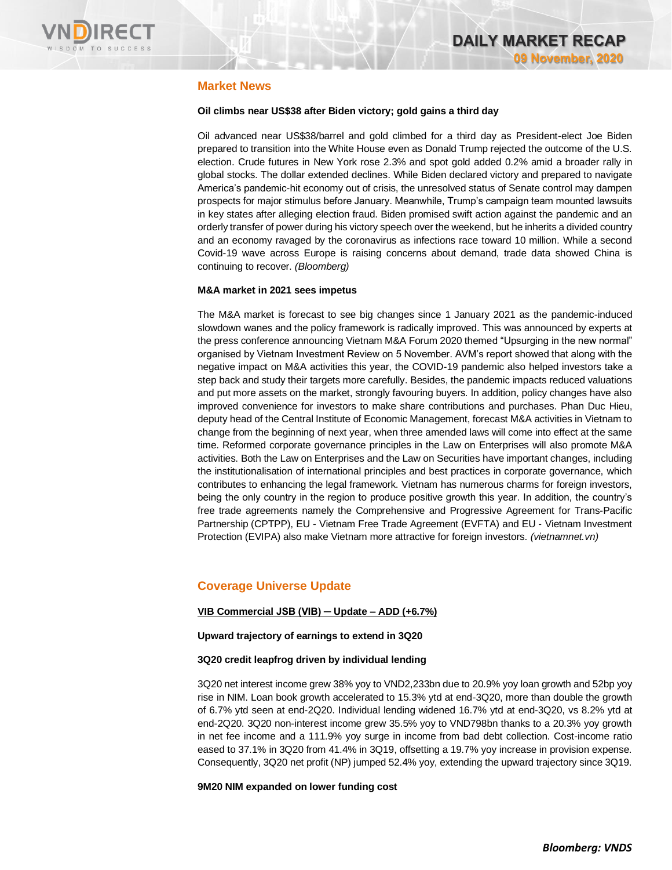

## **Market News**

### **Oil climbs near US\$38 after Biden victory; gold gains a third day**

Oil advanced near US\$38/barrel and gold climbed for a third day as President-elect Joe Biden prepared to transition into the White House even as Donald Trump rejected the outcome of the U.S. election. Crude futures in New York rose 2.3% and spot gold added 0.2% amid a broader rally in global stocks. The dollar extended declines. While Biden declared victory and prepared to navigate America's pandemic-hit economy out of crisis, the unresolved status of Senate control may dampen prospects for major stimulus before January. Meanwhile, Trump's campaign team mounted lawsuits in key states after alleging election fraud. Biden promised swift action against the pandemic and an orderly transfer of power during his victory speech over the weekend, but he inherits a divided country and an economy ravaged by the coronavirus as infections race toward 10 million. While a second Covid-19 wave across Europe is raising concerns about demand, trade data showed China is continuing to recover. *(Bloomberg)*

#### **M&A market in 2021 sees impetus**

The M&A market is forecast to see big changes since 1 January 2021 as the pandemic-induced slowdown wanes and the policy framework is radically improved. This was announced by experts at the press conference announcing Vietnam M&A Forum 2020 themed "Upsurging in the new normal" organised by Vietnam Investment Review on 5 November. AVM's report showed that along with the negative impact on M&A activities this year, the COVID-19 pandemic also helped investors take a step back and study their targets more carefully. Besides, the pandemic impacts reduced valuations and put more assets on the market, strongly favouring buyers. In addition, policy changes have also improved convenience for investors to make share contributions and purchases. Phan Duc Hieu, deputy head of the Central Institute of Economic Management, forecast M&A activities in Vietnam to change from the beginning of next year, when three amended laws will come into effect at the same time. Reformed corporate governance principles in the Law on Enterprises will also promote M&A activities. Both the Law on Enterprises and the Law on Securities have important changes, including the institutionalisation of international principles and best practices in corporate governance, which contributes to enhancing the legal framework. Vietnam has numerous charms for foreign investors, being the only country in the region to produce positive growth this year. In addition, the country's free trade agreements namely the Comprehensive and Progressive Agreement for Trans-Pacific Partnership (CPTPP), EU - Vietnam Free Trade Agreement (EVFTA) and EU - Vietnam Investment Protection (EVIPA) also make Vietnam more attractive for foreign investors. *(vietnamnet.vn)*

# **Coverage Universe Update**

### **VIB Commercial JSB (VIB) ─ Update – ADD (+6.7%)**

### **Upward trajectory of earnings to extend in 3Q20**

#### **3Q20 credit leapfrog driven by individual lending**

3Q20 net interest income grew 38% yoy to VND2,233bn due to 20.9% yoy loan growth and 52bp yoy rise in NIM. Loan book growth accelerated to 15.3% ytd at end-3Q20, more than double the growth of 6.7% ytd seen at end-2Q20. Individual lending widened 16.7% ytd at end-3Q20, vs 8.2% ytd at end-2Q20. 3Q20 non-interest income grew 35.5% yoy to VND798bn thanks to a 20.3% yoy growth in net fee income and a 111.9% yoy surge in income from bad debt collection. Cost-income ratio eased to 37.1% in 3Q20 from 41.4% in 3Q19, offsetting a 19.7% yoy increase in provision expense. Consequently, 3Q20 net profit (NP) jumped 52.4% yoy, extending the upward trajectory since 3Q19.

**9M20 NIM expanded on lower funding cost**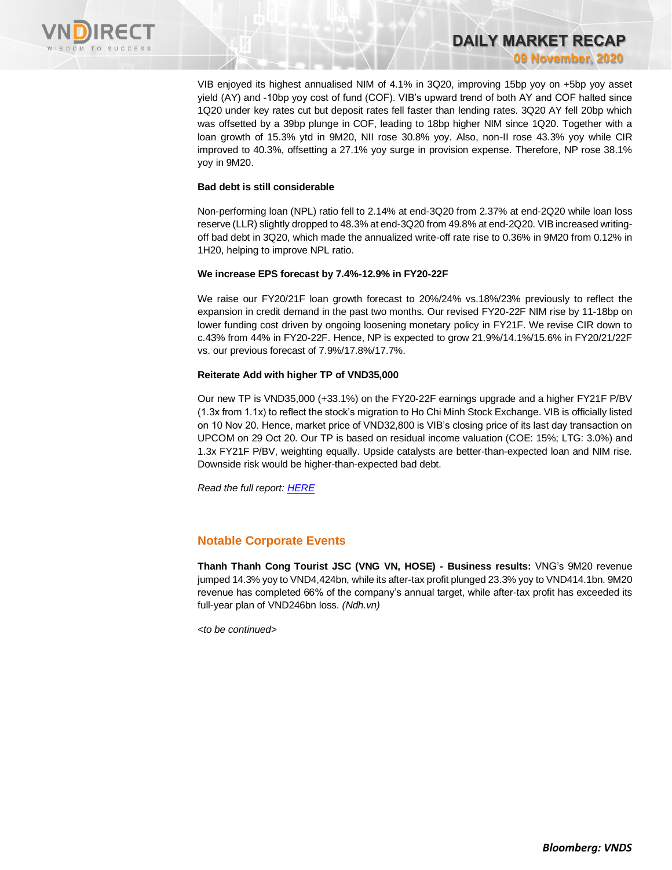

VIB enjoyed its highest annualised NIM of 4.1% in 3Q20, improving 15bp yoy on +5bp yoy asset yield (AY) and -10bp yoy cost of fund (COF). VIB's upward trend of both AY and COF halted since 1Q20 under key rates cut but deposit rates fell faster than lending rates. 3Q20 AY fell 20bp which was offsetted by a 39bp plunge in COF, leading to 18bp higher NIM since 1Q20. Together with a loan growth of 15.3% ytd in 9M20, NII rose 30.8% yoy. Also, non-II rose 43.3% yoy while CIR improved to 40.3%, offsetting a 27.1% yoy surge in provision expense. Therefore, NP rose 38.1% yoy in 9M20.

**DAILY MARKET RECAP** 

**09 November, 2020**

#### **Bad debt is still considerable**

Non-performing loan (NPL) ratio fell to 2.14% at end-3Q20 from 2.37% at end-2Q20 while loan loss reserve (LLR) slightly dropped to 48.3% at end-3Q20 from 49.8% at end-2Q20. VIB increased writingoff bad debt in 3Q20, which made the annualized write-off rate rise to 0.36% in 9M20 from 0.12% in 1H20, helping to improve NPL ratio.

#### **We increase EPS forecast by 7.4%-12.9% in FY20-22F**

We raise our FY20/21F loan growth forecast to 20%/24% vs.18%/23% previously to reflect the expansion in credit demand in the past two months. Our revised FY20-22F NIM rise by 11-18bp on lower funding cost driven by ongoing loosening monetary policy in FY21F. We revise CIR down to c.43% from 44% in FY20-22F. Hence, NP is expected to grow 21.9%/14.1%/15.6% in FY20/21/22F vs. our previous forecast of 7.9%/17.8%/17.7%.

#### **Reiterate Add with higher TP of VND35,000**

Our new TP is VND35,000 (+33.1%) on the FY20-22F earnings upgrade and a higher FY21F P/BV (1.3x from 1.1x) to reflect the stock's migration to Ho Chi Minh Stock Exchange. VIB is officially listed on 10 Nov 20. Hence, market price of VND32,800 is VIB's closing price of its last day transaction on UPCOM on 29 Oct 20. Our TP is based on residual income valuation (COE: 15%; LTG: 3.0%) and 1.3x FY21F P/BV, weighting equally. Upside catalysts are better-than-expected loan and NIM rise. Downside risk would be higher-than-expected bad debt.

*Read the full report[: HERE](https://nhanha-public-api.vndirect.com.vn/click/OGE0ODlmZDA3NTYyMzU3MDAxNzU2MmUzNWNiMzEyMTE=/Y2I2YzZkMDJmYzlmNDM4ODk3MDkzZGU3NDQwMDU4MWE=/cb6c6d02fc9f438897093de74400581a-VIB_Update_20201106.pdf/cmVzZWFyY2hAdm5kaXJlY3QuY29tLnZu/MjQwMTU=)*

# **Notable Corporate Events**

**Thanh Thanh Cong Tourist JSC (VNG VN, HOSE) - Business results:** VNG's 9M20 revenue jumped 14.3% yoy to VND4,424bn, while its after-tax profit plunged 23.3% yoy to VND414.1bn. 9M20 revenue has completed 66% of the company's annual target, while after-tax profit has exceeded its full-year plan of VND246bn loss. *(Ndh.vn)*

*<to be continued>*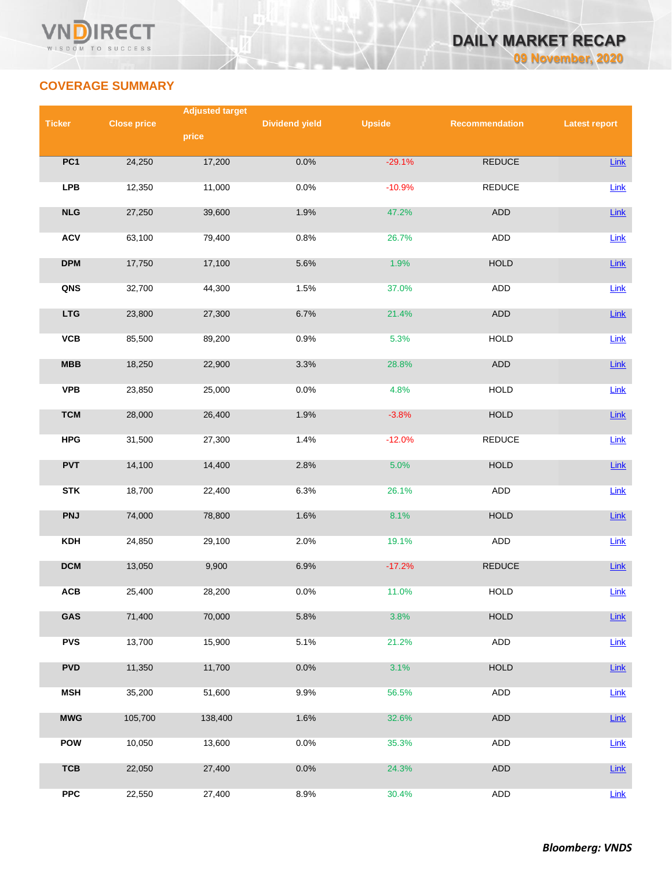

# **COVERAGE SUMMARY**

|                 |                    | <b>Adjusted target</b> |                       |               |                |                      |
|-----------------|--------------------|------------------------|-----------------------|---------------|----------------|----------------------|
| <b>Ticker</b>   | <b>Close price</b> |                        | <b>Dividend yield</b> | <b>Upside</b> | Recommendation | <b>Latest report</b> |
|                 |                    | price                  |                       |               |                |                      |
| PC <sub>1</sub> | 24,250             | 17,200                 | 0.0%                  | $-29.1%$      | REDUCE         | Link                 |
| <b>LPB</b>      | 12,350             | 11,000                 | 0.0%                  | $-10.9%$      | <b>REDUCE</b>  | Link                 |
| NLG             | 27,250             | 39,600                 | 1.9%                  | 47.2%         | ADD            | Link                 |
| <b>ACV</b>      | 63,100             | 79,400                 | 0.8%                  | 26.7%         | <b>ADD</b>     | Link                 |
| <b>DPM</b>      | 17,750             | 17,100                 | 5.6%                  | 1.9%          | HOLD           | Link                 |
| QNS             | 32,700             | 44,300                 | 1.5%                  | 37.0%         | ADD            | Link                 |
| <b>LTG</b>      | 23,800             | 27,300                 | 6.7%                  | 21.4%         | ADD            | Link                 |
| VCB             | 85,500             | 89,200                 | 0.9%                  | 5.3%          | <b>HOLD</b>    | Link                 |
| MBB             | 18,250             | 22,900                 | 3.3%                  | 28.8%         | ADD            | Link                 |
| <b>VPB</b>      | 23,850             | 25,000                 | 0.0%                  | 4.8%          | <b>HOLD</b>    | Link                 |
| <b>TCM</b>      | 28,000             | 26,400                 | 1.9%                  | $-3.8%$       | <b>HOLD</b>    | Link                 |
| <b>HPG</b>      | 31,500             | 27,300                 | 1.4%                  | $-12.0%$      | REDUCE         | Link                 |
| <b>PVT</b>      | 14,100             | 14,400                 | 2.8%                  | 5.0%          | <b>HOLD</b>    | Link                 |
| <b>STK</b>      | 18,700             | 22,400                 | 6.3%                  | 26.1%         | ADD            | Link                 |
| <b>PNJ</b>      | 74,000             | 78,800                 | 1.6%                  | 8.1%          | <b>HOLD</b>    | Link                 |
| <b>KDH</b>      | 24,850             | 29,100                 | 2.0%                  | 19.1%         | ADD            | Link                 |
| <b>DCM</b>      | 13,050             | 9,900                  | 6.9%                  | $-17.2%$      | <b>REDUCE</b>  | Link                 |
| ACB             | 25,400             | 28,200                 | 0.0%                  | 11.0%         | HOLD           | Link                 |
| GAS             | 71,400             | 70,000                 | 5.8%                  | 3.8%          | <b>HOLD</b>    | <b>Link</b>          |
| <b>PVS</b>      | 13,700             | 15,900                 | 5.1%                  | 21.2%         | ADD            | Link                 |
| <b>PVD</b>      | 11,350             | 11,700                 | 0.0%                  | 3.1%          | <b>HOLD</b>    | Link                 |
| <b>MSH</b>      | 35,200             | 51,600                 | 9.9%                  | 56.5%         | ADD            | Link                 |
| <b>MWG</b>      | 105,700            | 138,400                | 1.6%                  | 32.6%         | ADD            | Link                 |
| <b>POW</b>      | 10,050             | 13,600                 | 0.0%                  | 35.3%         | ADD            | Link                 |
| <b>TCB</b>      | 22,050             | 27,400                 | 0.0%                  | 24.3%         | ADD            | Link                 |
| ${\sf PPC}$     | 22,550             | 27,400                 | 8.9%                  | 30.4%         | ADD            | Link                 |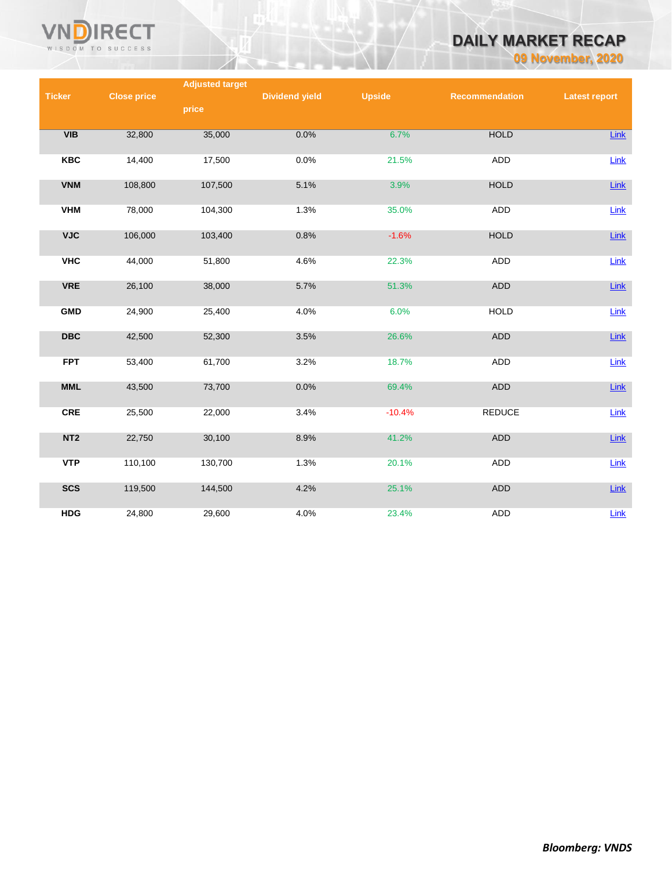

# **DAILY MARKET RECAP**

**09 November, 2020**

|                 |                    | <b>Adjusted target</b> |                       |               |                |                      |
|-----------------|--------------------|------------------------|-----------------------|---------------|----------------|----------------------|
| <b>Ticker</b>   | <b>Close price</b> |                        | <b>Dividend yield</b> | <b>Upside</b> | Recommendation | <b>Latest report</b> |
|                 |                    | price                  |                       |               |                |                      |
|                 |                    |                        |                       |               |                |                      |
| VIB             | 32,800             | 35,000                 | 0.0%                  | 6.7%          | <b>HOLD</b>    | Link                 |
|                 |                    |                        |                       |               |                |                      |
| <b>KBC</b>      | 14,400             | 17,500                 | 0.0%                  | 21.5%         | <b>ADD</b>     | Link                 |
|                 |                    |                        |                       |               |                |                      |
| <b>VNM</b>      | 108,800            | 107,500                | 5.1%                  | 3.9%          | <b>HOLD</b>    | Link                 |
| <b>VHM</b>      | 78,000             | 104,300                | 1.3%                  | 35.0%         | ADD            | Link                 |
|                 |                    |                        |                       |               |                |                      |
| <b>VJC</b>      | 106,000            | 103,400                | 0.8%                  | $-1.6%$       | <b>HOLD</b>    | Link                 |
|                 |                    |                        |                       |               |                |                      |
| <b>VHC</b>      | 44,000             | 51,800                 | 4.6%                  | 22.3%         | <b>ADD</b>     | Link                 |
|                 |                    |                        |                       |               |                |                      |
| <b>VRE</b>      | 26,100             | 38,000                 | 5.7%                  | 51.3%         | <b>ADD</b>     | Link                 |
|                 |                    |                        |                       |               |                |                      |
| <b>GMD</b>      | 24,900             | 25,400                 | 4.0%                  | 6.0%          | <b>HOLD</b>    | Link                 |
| <b>DBC</b>      | 42,500             | 52,300                 | 3.5%                  | 26.6%         | <b>ADD</b>     | Link                 |
|                 |                    |                        |                       |               |                |                      |
| <b>FPT</b>      | 53,400             | 61,700                 | 3.2%                  | 18.7%         | <b>ADD</b>     | Link                 |
|                 |                    |                        |                       |               |                |                      |
| <b>MML</b>      | 43,500             | 73,700                 | 0.0%                  | 69.4%         | ADD            | Link                 |
|                 |                    |                        |                       |               |                |                      |
| <b>CRE</b>      | 25,500             | 22,000                 | 3.4%                  | $-10.4%$      | <b>REDUCE</b>  | Link                 |
|                 |                    |                        |                       |               |                |                      |
| NT <sub>2</sub> | 22,750             | 30,100                 | 8.9%                  | 41.2%         | <b>ADD</b>     | Link                 |
| <b>VTP</b>      | 110,100            | 130,700                | 1.3%                  | 20.1%         | ADD            | Link                 |
|                 |                    |                        |                       |               |                |                      |
| <b>SCS</b>      | 119,500            | 144,500                | 4.2%                  | 25.1%         | <b>ADD</b>     | Link                 |
|                 |                    |                        |                       |               |                |                      |
| <b>HDG</b>      | 24,800             | 29,600                 | 4.0%                  | 23.4%         | <b>ADD</b>     | $Link$               |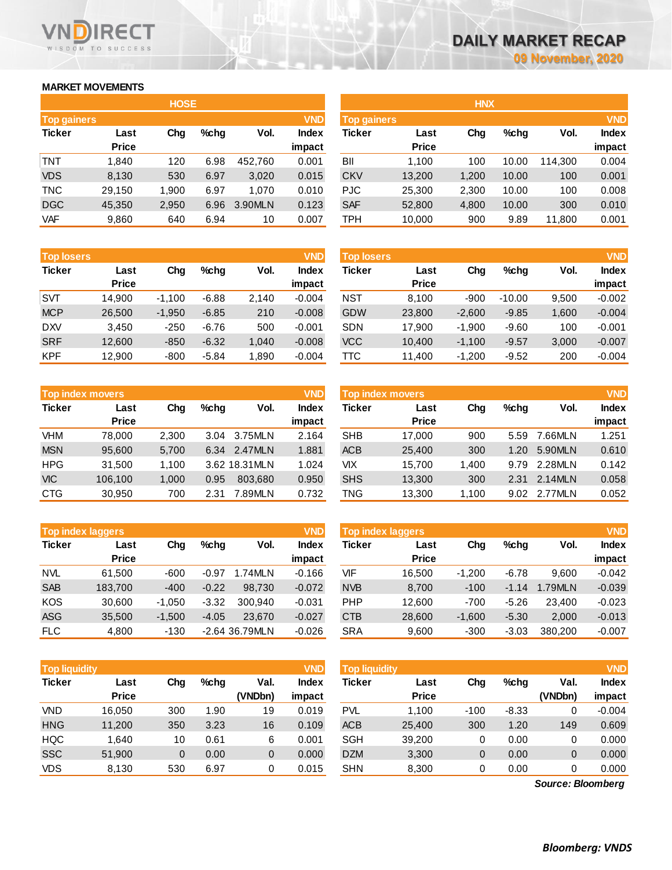# **MARKET MOVEMENTS**

WISDOM TO SUCCESS

**RECT** 

|                                  | <b>HOSE</b>  |       |      |         |              |  |  |  |  |  |  |
|----------------------------------|--------------|-------|------|---------|--------------|--|--|--|--|--|--|
| <b>VND</b><br><b>Top gainers</b> |              |       |      |         |              |  |  |  |  |  |  |
| <b>Ticker</b>                    | Last         | Cha   | %chq | Vol.    | <b>Index</b> |  |  |  |  |  |  |
|                                  | <b>Price</b> |       |      |         | impact       |  |  |  |  |  |  |
| TNT                              | 1.840        | 120   | 6.98 | 452,760 | 0.001        |  |  |  |  |  |  |
| <b>VDS</b>                       | 8,130        | 530   | 6.97 | 3,020   | 0.015        |  |  |  |  |  |  |
| <b>TNC</b>                       | 29,150       | 1,900 | 6.97 | 1,070   | 0.010        |  |  |  |  |  |  |
| <b>DGC</b>                       | 45,350       | 2,950 | 6.96 | 3.90MLN | 0.123        |  |  |  |  |  |  |
| VAF                              | 9,860        | 640   | 6.94 | 10      | 0.007        |  |  |  |  |  |  |

| <b>Top losers</b> |              |          |         |       | <b>VND</b>   |
|-------------------|--------------|----------|---------|-------|--------------|
| <b>Ticker</b>     | Last         | Cha      | %chq    | Vol.  | <b>Index</b> |
|                   | <b>Price</b> |          |         |       | impact       |
| <b>SVT</b>        | 14.900       | $-1,100$ | $-6.88$ | 2,140 | $-0.004$     |
| <b>MCP</b>        | 26,500       | $-1,950$ | $-6.85$ | 210   | $-0.008$     |
| <b>DXV</b>        | 3.450        | $-250$   | $-6.76$ | 500   | $-0.001$     |
| <b>SRF</b>        | 12,600       | $-850$   | $-6.32$ | 1,040 | $-0.008$     |
| <b>KPF</b>        | 12,900       | $-800$   | $-5.84$ | 1,890 | $-0.004$     |

|               | <b>Top index movers</b> |       |      |                |              |  |  |  |  |  |
|---------------|-------------------------|-------|------|----------------|--------------|--|--|--|--|--|
| <b>Ticker</b> | Last                    | Cha   | %chq | Vol.           | <b>Index</b> |  |  |  |  |  |
|               | <b>Price</b>            |       |      |                | impact       |  |  |  |  |  |
| <b>VHM</b>    | 78,000                  | 2,300 | 3.04 | 3.75MLN        | 2.164        |  |  |  |  |  |
| <b>MSN</b>    | 95,600                  | 5,700 | 6.34 | 2.47MLN        | 1.881        |  |  |  |  |  |
| <b>HPG</b>    | 31,500                  | 1,100 |      | 3.62 18.31 MLN | 1.024        |  |  |  |  |  |
| <b>VIC</b>    | 106,100                 | 1,000 | 0.95 | 803.680        | 0.950        |  |  |  |  |  |
| <b>CTG</b>    | 30,950                  | 700   | 2.31 | 7.89MLN        | 0.732        |  |  |  |  |  |

| <b>VND</b><br><b>Top index laggers</b> |              |          |         |                |              |  |  |  |  |
|----------------------------------------|--------------|----------|---------|----------------|--------------|--|--|--|--|
| <b>Ticker</b>                          | Last         | Chg      | %chq    | Vol.           | <b>Index</b> |  |  |  |  |
|                                        | <b>Price</b> |          |         |                | impact       |  |  |  |  |
| <b>NVL</b>                             | 61,500       | $-600$   | $-0.97$ | 1.74MLN        | $-0.166$     |  |  |  |  |
| <b>SAB</b>                             | 183,700      | $-400$   | $-0.22$ | 98,730         | $-0.072$     |  |  |  |  |
| <b>KOS</b>                             | 30,600       | $-1,050$ | $-3.32$ | 300.940        | $-0.031$     |  |  |  |  |
| <b>ASG</b>                             | 35,500       | $-1,500$ | $-4.05$ | 23.670         | $-0.027$     |  |  |  |  |
| <b>FLC</b>                             | 4,800        | $-130$   |         | -2.64 36.79MLN | $-0.026$     |  |  |  |  |

| <b>VND</b><br>Top liquidity |                      |     |      |                 | <b>Top liquidity</b>   |               |                      |        |         |                 |                        |
|-----------------------------|----------------------|-----|------|-----------------|------------------------|---------------|----------------------|--------|---------|-----------------|------------------------|
| <b>Ticker</b>               | Last<br><b>Price</b> | Chg | %chq | Val.<br>(VNDbn) | <b>Index</b><br>impact | <b>Ticker</b> | Last<br><b>Price</b> | Chg    | $%$ chg | Val.<br>(VNDbn) | <b>Index</b><br>impact |
| <b>VND</b>                  | 16.050               | 300 | 1.90 | 19              | 0.019                  | <b>PVL</b>    | 1.100                | $-100$ | $-8.33$ |                 | $-0.004$               |
| <b>HNG</b>                  | 11,200               | 350 | 3.23 | 16              | 0.109                  | <b>ACB</b>    | 25,400               | 300    | 1.20    | 149             | 0.609                  |
| <b>HQC</b>                  | 1.640                | 10  | 0.61 | 6               | 0.001                  | <b>SGH</b>    | 39,200               | 0      | 0.00    |                 | 0.000                  |
| <b>SSC</b>                  | 51,900               | 0   | 0.00 | $\overline{0}$  | 0.000                  | <b>DZM</b>    | 3,300                | 0      | 0.00    | 0               | 0.000                  |
| <b>VDS</b>                  | 8,130                | 530 | 6.97 | 0               | 0.015                  | <b>SHN</b>    | 8,300                | 0      | 0.00    |                 | 0.000                  |

*Source: Bloomberg*

|                    |              | <b>HOSE</b> |      |         |              |                    |              | <b>HNX</b> |       |         |              |
|--------------------|--------------|-------------|------|---------|--------------|--------------------|--------------|------------|-------|---------|--------------|
| <b>Top gainers</b> |              |             |      |         | <b>VND</b>   | <b>Top gainers</b> |              |            |       |         | <b>VND</b>   |
| Ticker             | Last         | Chg         | %chg | Vol.    | <b>Index</b> | Ticker             | Last         | Chg        | %chg  | Vol.    | <b>Index</b> |
|                    | <b>Price</b> |             |      |         | impact       |                    | <b>Price</b> |            |       |         | impact       |
| TNT                | 1,840        | 120         | 6.98 | 452.760 | 0.001        | BII                | 1,100        | 100        | 10.00 | 114.300 | 0.004        |
| <b>VDS</b>         | 8,130        | 530         | 6.97 | 3,020   | 0.015        | <b>CKV</b>         | 13,200       | 1,200      | 10.00 | 100     | 0.001        |
| <b>TNC</b>         | 29,150       | 1.900       | 6.97 | 1.070   | 0.010        | <b>PJC</b>         | 25,300       | 2,300      | 10.00 | 100     | 0.008        |
| <b>DGC</b>         | 45,350       | 2,950       | 6.96 | 3.90MLN | 0.123        | <b>SAF</b>         | 52,800       | 4,800      | 10.00 | 300     | 0.010        |
| <b>VAF</b>         | 9,860        | 640         | 6.94 | 10      | 0.007        | TPH                | 10,000       | 900        | 9.89  | 11,800  | 0.001        |
|                    |              |             |      |         |              |                    |              |            |       |         |              |

| <b>Top losers</b> |              |          |         |        | <b>VND</b>   | <b>Top losers</b> |              |          |          |       | <b>VND</b>   |
|-------------------|--------------|----------|---------|--------|--------------|-------------------|--------------|----------|----------|-------|--------------|
| Ticker            | Last         | Chg      | $%$ chg | Vol.   | <b>Index</b> | Ticker            | Last         | Chg      | $%$ chg  | Vol.  | <b>Index</b> |
|                   | <b>Price</b> |          |         |        | impact       |                   | <b>Price</b> |          |          |       | impact       |
| SVT               | 14.900       | $-1,100$ | $-6.88$ | 2,140  | $-0.004$     | <b>NST</b>        | 8,100        | $-900$   | $-10.00$ | 9,500 | $-0.002$     |
| <b>MCP</b>        | 26,500       | $-1.950$ | $-6.85$ | 210    | $-0.008$     | <b>GDW</b>        | 23,800       | $-2.600$ | $-9.85$  | 1.600 | $-0.004$     |
| <b>DXV</b>        | 3.450        | $-250$   | $-6.76$ | 500    | $-0.001$     | <b>SDN</b>        | 17.900       | $-1.900$ | $-9.60$  | 100   | $-0.001$     |
| <b>SRF</b>        | 12,600       | $-850$   | $-6.32$ | 1,040  | $-0.008$     | <b>VCC</b>        | 10.400       | $-1.100$ | $-9.57$  | 3,000 | $-0.007$     |
| KPF               | 12,900       | $-800$   | $-5.84$ | 890. ا | $-0.004$     | TТC               | 11,400       | $-1,200$ | $-9.52$  | 200   | $-0.004$     |

|            | <b>Top index movers</b> |       |      |                | <b>VND</b>   | Top index movers |              |       |      |         | <b>VND</b>   |
|------------|-------------------------|-------|------|----------------|--------------|------------------|--------------|-------|------|---------|--------------|
| Ticker     | Last                    | Chg   | %chq | Vol.           | <b>Index</b> | Ticker           | Last         | Chg   | %chq | Vol.    | <b>Index</b> |
|            | <b>Price</b>            |       |      |                | impact       |                  | <b>Price</b> |       |      |         | impact       |
| VHM        | 78.000                  | 2.300 | 3.04 | 3.75MLN        | 2.164        | <b>SHB</b>       | 17.000       | 900   | 5.59 | 7.66MLN | 1.251        |
| <b>MSN</b> | 95,600                  | 5,700 |      | 6.34 2.47MLN   | 1.881        | <b>ACB</b>       | 25,400       | 300   | 1.20 | 5.90MLN | 0.610        |
| HPG        | 31.500                  | 1.100 |      | 3.62 18.31 MLN | 1.024        | VIX              | 15.700       | 1.400 | 9.79 | 2.28MLN | 0.142        |
| VIC        | 106.100                 | 1,000 | 0.95 | 803.680        | 0.950        | <b>SHS</b>       | 13,300       | 300   | 2.31 | 2.14MLN | 0.058        |
| CTG        | 30,950                  | 700   | 2.31 | 7.89MLN        | 0.732        | TNG              | 13,300       | 1,100 | 9.02 | 2.77MLN | 0.052        |
|            |                         |       |      |                |              |                  |              |       |      |         |              |

| <b>VND</b><br>Top index laggers |                      |          |         |                |              | Top index laggers |                      |          |         |         |              |
|---------------------------------|----------------------|----------|---------|----------------|--------------|-------------------|----------------------|----------|---------|---------|--------------|
| Ticker                          | Last<br><b>Price</b> | Chg      | $%$ chg | Vol.           | <b>Index</b> | Ticker            | Last<br><b>Price</b> | Chg      | $%$ chg | Vol.    | <b>Index</b> |
|                                 |                      |          |         |                | impact       |                   |                      |          |         |         | impact       |
| NVL                             | 61.500               | $-600$   | $-0.97$ | 1.74MLN        | $-0.166$     | VIF               | 16.500               | $-1.200$ | $-6.78$ | 9.600   | $-0.042$     |
| <b>SAB</b>                      | 183,700              | $-400$   | $-0.22$ | 98.730         | $-0.072$     | <b>NVB</b>        | 8,700                | $-100$   | $-1.14$ | 1.79MLN | $-0.039$     |
| KOS                             | 30.600               | $-1.050$ | $-3.32$ | 300.940        | $-0.031$     | <b>PHP</b>        | 12.600               | $-700$   | $-5.26$ | 23,400  | $-0.023$     |
| ASG                             | 35,500               | $-1.500$ | $-4.05$ | 23,670         | $-0.027$     | <b>CTB</b>        | 28,600               | $-1.600$ | $-5.30$ | 2,000   | $-0.013$     |
| <b>FLC</b>                      | 4,800                | $-130$   |         | -2.64 36.79MLN | $-0.026$     | <b>SRA</b>        | 9,600                | $-300$   | $-3.03$ | 380.200 | $-0.007$     |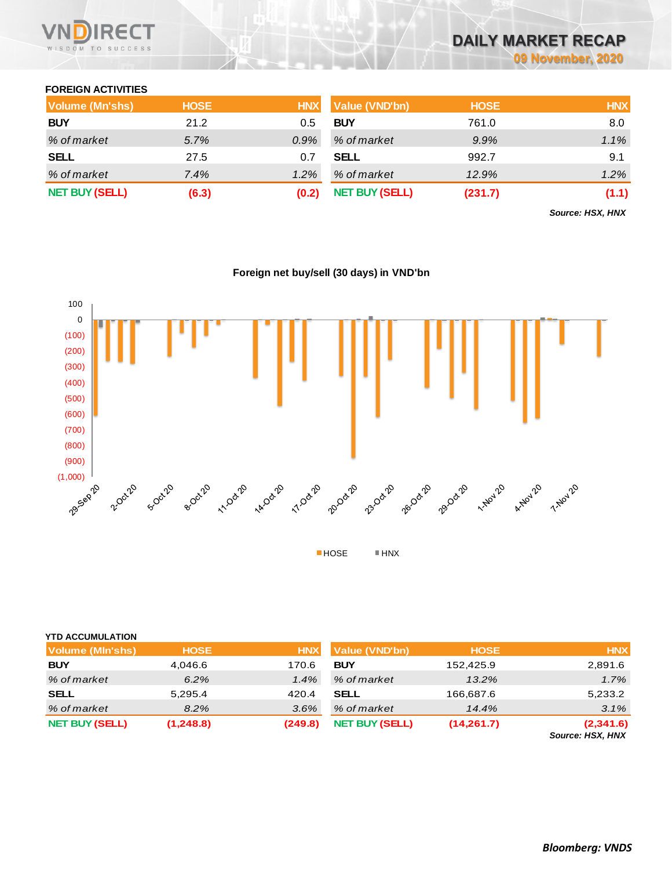

# **DAILY MARKET RECAP**

**09 November, 2020**

### **FOREIGN ACTIVITIES**

| <b>Volume (Mn'shs)</b> | <b>HOSE</b> | <b>HNX</b> | <b>Value (VND'bn)</b> | <b>HOSE</b> | <b>HNX</b> |
|------------------------|-------------|------------|-----------------------|-------------|------------|
| <b>BUY</b>             | 21.2        | 0.5        | <b>BUY</b>            | 761.0       | 8.0        |
| % of market            | 5.7%        | $0.9\%$    | % of market           | 9.9%        | 1.1%       |
| <b>SELL</b>            | 27.5        |            | <b>SELL</b>           | 992.7       | 9.1        |
| % of market            | 7.4%        | $1.2\%$    | % of market           | 12.9%       | 1.2%       |
| <b>NET BUY (SELL)</b>  | (6.3)       |            | <b>NET BUY (SELL)</b> | (231.7)     | (1.1)      |

*Source: HSX, HNX*



# **Foreign net buy/sell (30 days) in VND'bn**

| <b>YTD ACCUMULATION</b> |             |            |                       |             |                               |
|-------------------------|-------------|------------|-----------------------|-------------|-------------------------------|
| <b>Volume (MIn'shs)</b> | <b>HOSE</b> | <b>HNX</b> | <b>Value (VND'bn)</b> | <b>HOSE</b> | <b>HNX</b>                    |
| <b>BUY</b>              | 4,046.6     | 170.6      | <b>BUY</b>            | 152,425.9   | 2,891.6                       |
| % of market             | 6.2%        | $1.4\%$    | % of market           | 13.2%       | 1.7%                          |
| <b>SELL</b>             | 5,295.4     | 420.4      | <b>SELL</b>           | 166,687.6   | 5,233.2                       |
| % of market             | 8.2%        | 3.6%       | % of market           | 14.4%       | 3.1%                          |
| <b>NET BUY (SELL)</b>   | (1,248.8)   | (249.8)    | <b>NET BUY (SELL)</b> | (14,261.7)  | (2,341.6)<br>$0.4110V$ $110V$ |

*Source: HSX, HNX*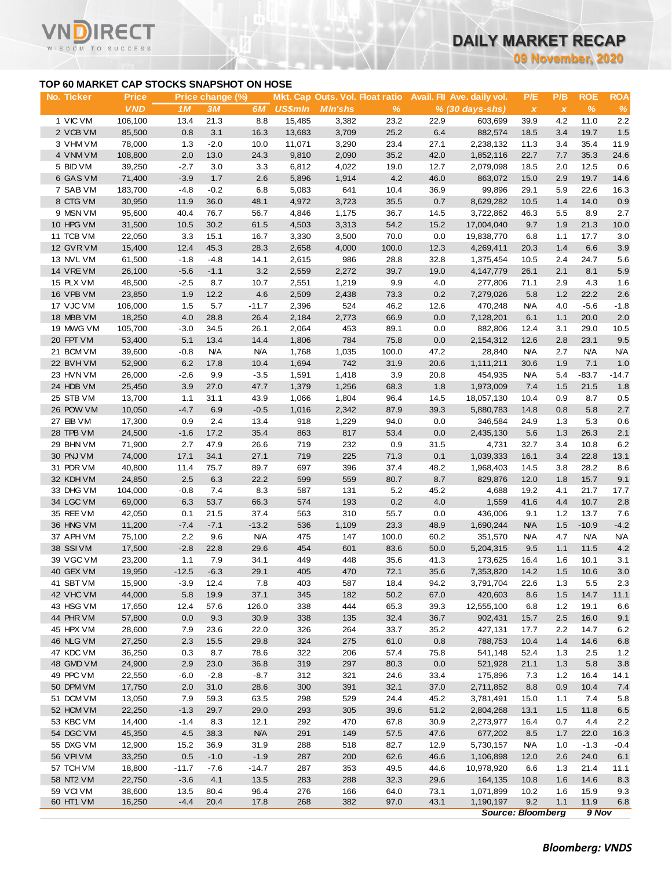**09 November, 2020**

## **TOP 60 MARKET CAP STOCKS SNAPSHOT ON HOSE**

ECT

 $\checkmark$ 

|                                           |                            |                  |                        |                |                |                                                   |              |              |                                                 |                                 | <b>09 November, 2020</b> |                    |                    |
|-------------------------------------------|----------------------------|------------------|------------------------|----------------|----------------|---------------------------------------------------|--------------|--------------|-------------------------------------------------|---------------------------------|--------------------------|--------------------|--------------------|
| TOP 60 MARKET CAP STOCKS SNAPSHOT ON HOSE |                            |                  |                        |                |                |                                                   |              |              |                                                 |                                 |                          |                    |                    |
| No. Ticker                                | <b>Price</b><br><b>VND</b> | 1M               | Price change (%)<br>3M | 6M             | <b>US\$mln</b> | Mkt. Cap Outs. Vol. Float ratio<br><b>MIn'shs</b> | $\%$         |              | Avail. Fil Ave. daily vol.<br>$% (30 days-shs)$ | P/E<br>$\pmb{\chi}$             | P/B<br>$\pmb{\chi}$      | <b>ROE</b><br>$\%$ | <b>ROA</b><br>$\%$ |
| 1 VIC VM                                  | 106,100                    | 13.4             | 21.3                   | 8.8            | 15,485         | 3,382                                             | 23.2         | 22.9         | 603.699                                         | 39.9                            | 4.2                      | 11.0               | 2.2                |
| 2 VCB VM                                  | 85,500                     | 0.8              | 3.1                    | 16.3           | 13,683         | 3,709                                             | 25.2         | 6.4          | 882,574                                         | 18.5                            | 3.4                      | 19.7               | 1.5                |
| 3 VHM VM                                  | 78,000                     | 1.3              | $-2.0$                 | 10.0           | 11,071         | 3,290                                             | 23.4         | 27.1         | 2,238,132                                       | 11.3                            | 3.4                      | 35.4               | 11.9               |
| 4 VNM VM                                  | 108,800                    | 2.0              | 13.0                   | 24.3           | 9,810          | 2,090                                             | 35.2         | 42.0         | 1,852,116                                       | 22.7                            | 7.7                      | 35.3               | 24.6               |
| 5 BID VM<br>6 GAS VM                      | 39,250                     | $-2.7$           | 3.0<br>1.7             | 3.3<br>2.6     | 6,812          | 4,022                                             | 19.0<br>4.2  | 12.7         | 2,079,098                                       | 18.5                            | 2.0<br>2.9               | 12.5<br>19.7       | 0.6<br>14.6        |
| 7 SAB VM                                  | 71,400<br>183,700          | $-3.9$<br>$-4.8$ | $-0.2$                 | 6.8            | 5,896<br>5,083 | 1,914<br>641                                      | 10.4         | 46.0<br>36.9 | 863,072<br>99,896                               | 15.0<br>29.1                    | 5.9                      | 22.6               | 16.3               |
| 8 CTG VM                                  | 30,950                     | 11.9             | 36.0                   | 48.1           | 4,972          | 3,723                                             | 35.5         | 0.7          | 8,629,282                                       | 10.5                            | 1.4                      | 14.0               | 0.9                |
| 9 MSN VM                                  | 95,600                     | 40.4             | 76.7                   | 56.7           | 4,846          | 1,175                                             | 36.7         | 14.5         | 3,722,862                                       | 46.3                            | 5.5                      | 8.9                | 2.7                |
| 10 HPG VM                                 | 31,500                     | 10.5             | 30.2                   | 61.5           | 4,503          | 3,313                                             | 54.2         | 15.2         | 17,004,040                                      | 9.7                             | 1.9                      | 21.3               | 10.0               |
| 11 TCB VM                                 | 22,050                     | 3.3              | 15.1                   | 16.7           | 3,330          | 3,500                                             | 70.0         | 0.0          | 19,838,770                                      | 6.8                             | 1.1                      | 17.7               | 3.0                |
| 12 GVR VM                                 | 15,400                     | 12.4             | 45.3                   | 28.3           | 2,658          | 4,000                                             | 100.0        | 12.3         | 4,269,411                                       | 20.3                            | 1.4                      | 6.6                | 3.9                |
| 13 NVL VM                                 | 61,500                     | $-1.8$           | $-4.8$                 | 14.1           | 2,615          | 986                                               | 28.8         | 32.8         | 1,375,454                                       | 10.5                            | 2.4                      | 24.7               | 5.6                |
| 14 VREVM                                  | 26,100                     | $-5.6$           | $-1.1$                 | 3.2            | 2,559          | 2,272                                             | 39.7         | 19.0         | 4,147,779                                       | 26.1                            | 2.1                      | 8.1                | 5.9                |
| 15 PLX VM                                 | 48,500                     | $-2.5$           | 8.7                    | 10.7           | 2,551          | 1,219                                             | 9.9          | 4.0          | 277,806                                         | 71.1                            | 2.9                      | 4.3                | 1.6                |
| 16 VPB VM                                 | 23,850                     | 1.9              | 12.2                   | 4.6            | 2,509          | 2,438                                             | 73.3         | 0.2          | 7,279,026                                       | 5.8                             | 1.2                      | 22.2               | 2.6                |
| 17 VJC VM                                 | 106,000                    | 1.5              | 5.7                    | $-11.7$        | 2,396          | 524                                               | 46.2         | 12.6         | 470,248                                         | <b>N/A</b>                      | 4.0                      | $-5.6$             | $-1.8$             |
| 18 MBB VM                                 | 18,250                     | 4.0              | 28.8                   | 26.4           | 2,184          | 2,773                                             | 66.9         | 0.0          | 7,128,201                                       | 6.1                             | 1.1                      | 20.0               | 2.0                |
| 19 MWG VM                                 | 105,700                    | $-3.0$           | 34.5                   | 26.1           | 2,064          | 453                                               | 89.1         | 0.0          | 882,806                                         | 12.4                            | 3.1                      | 29.0               | 10.5               |
| 20 FPT VM                                 | 53,400                     | 5.1              | 13.4                   | 14.4           | 1,806          | 784                                               | 75.8         | 0.0          | 2,154,312                                       | 12.6                            | 2.8                      | 23.1               | 9.5                |
| 21 BCM VM                                 | 39,600                     | $-0.8$           | <b>N/A</b>             | <b>N/A</b>     | 1,768          | 1,035                                             | 100.0        | 47.2         | 28,840                                          | <b>N/A</b>                      | 2.7                      | <b>N/A</b>         | <b>N/A</b>         |
| 22 BVHVM                                  | 52,900                     | 6.2              | 17.8                   | 10.4           | 1,694          | 742                                               | 31.9         | 20.6         | 1,111,211                                       | 30.6                            | 1.9                      | 7.1                | 1.0                |
| 23 HVN VM<br>24 HDB VM                    | 26,000                     | $-2.6$           | 9.9                    | $-3.5$         | 1,591          | 1,418                                             | 3.9<br>68.3  | 20.8         | 454,935<br>1,973,009                            | <b>N/A</b>                      | 5.4                      | $-83.7$            | $-14.7$            |
| 25 STB VM                                 | 25,450<br>13,700           | 3.9              | 27.0                   | 47.7           | 1,379<br>1,066 | 1,256<br>1,804                                    | 96.4         | 1.8<br>14.5  | 18,057,130                                      | 7.4<br>10.4                     | 1.5                      | 21.5<br>8.7        | 1.8<br>0.5         |
| 26 POW VM                                 | 10,050                     | 1.1<br>$-4.7$    | 31.1<br>6.9            | 43.9<br>$-0.5$ | 1,016          | 2,342                                             | 87.9         | 39.3         | 5,880,783                                       | 14.8                            | 0.9<br>0.8               | 5.8                | 2.7                |
| 27 EIB VM                                 | 17,300                     | 0.9              | 2.4                    | 13.4           | 918            | 1,229                                             | 94.0         | 0.0          | 346,584                                         | 24.9                            | 1.3                      | 5.3                | 0.6                |
| 28 TPB VM                                 | 24,500                     | $-1.6$           | 17.2                   | 35.4           | 863            | 817                                               | 53.4         | 0.0          | 2,435,130                                       | 5.6                             | 1.3                      | 26.3               | 2.1                |
| 29 BHN VM                                 | 71,900                     | 2.7              | 47.9                   | 26.6           | 719            | 232                                               | 0.9          | 31.5         | 4,731                                           | 32.7                            | 3.4                      | 10.8               | 6.2                |
| 30 PNJ VM                                 | 74,000                     | 17.1             | 34.1                   | 27.1           | 719            | 225                                               | 71.3         | 0.1          | 1,039,333                                       | 16.1                            | 3.4                      | 22.8               | 13.1               |
| 31 PDR VM                                 | 40,800                     | 11.4             | 75.7                   | 89.7           | 697            | 396                                               | 37.4         | 48.2         | 1,968,403                                       | 14.5                            | 3.8                      | 28.2               | 8.6                |
| 32 KDH VM                                 | 24,850                     | 2.5              | 6.3                    | 22.2           | 599            | 559                                               | 80.7         | 8.7          | 829,876                                         | 12.0                            | 1.8                      | 15.7               | 9.1                |
| 33 DHG VM                                 | 104,000                    | $-0.8$           | 7.4                    | 8.3            | 587            | 131                                               | 5.2          | 45.2         | 4,688                                           | 19.2                            | 4.1                      | 21.7               | 17.7               |
| 34 LGC VM                                 | 69,000                     | 6.3              | 53.7                   | 66.3           | 574            | 193                                               | 0.2          | 4.0          | 1,559                                           | 41.6                            | 4.4                      | 10.7               | 2.8                |
| 35 REE VM                                 | 42,050                     | 0.1              | 21.5                   | 37.4           | 563            | 310                                               | 55.7         | 0.0          | 436,006                                         | 9.1                             | 1.2                      | 13.7               | 7.6                |
| 36 HNG VM                                 | 11,200                     | $-7.4$           | $-7.1$                 | $-13.2$        | 536            | 1,109                                             | 23.3         | 48.9         | 1,690,244                                       | <b>N/A</b>                      | 1.5                      | $-10.9$            | $-4.2$             |
| 37 APH VM                                 | 75,100                     | 2.2              | 9.6                    | <b>N/A</b>     | 475            | 147                                               | 100.0        | 60.2         | 351,570                                         | <b>N/A</b>                      | 4.7                      | <b>N/A</b>         | <b>N/A</b>         |
| 38 SSIVM                                  | 17,500                     | $-2.8$           | 22.8                   | 29.6           | 454            | 601                                               | 83.6         | 50.0         | 5,204,315                                       | 9.5                             | 1.1                      | 11.5               | 4.2                |
| 39 VGC VM                                 | 23,200                     | 1.1              | 7.9                    | 34.1           | 449            | 448                                               | 35.6         | 41.3         | 173,625                                         | 16.4                            | 1.6                      | 10.1               | 3.1                |
| 40 GEX VM                                 | 19,950                     | $-12.5$          | $-6.3$                 | 29.1           | 405            | 470                                               | 72.1         | 35.6         | 7,353,820                                       | 14.2                            | 1.5                      | 10.6               | 3.0                |
| 41 SBT VM                                 | 15,900                     | $-3.9$           | 12.4                   | 7.8            | 403            | 587                                               | 18.4         | 94.2         | 3,791,704                                       | 22.6                            | 1.3                      | 5.5                | 2.3                |
| 42 VHC VM<br>43 HSG VM                    | 44,000<br>17,650           | 5.8<br>12.4      | 19.9<br>57.6           | 37.1<br>126.0  | 345<br>338     | 182<br>444                                        | 50.2<br>65.3 | 67.0<br>39.3 | 420,603<br>12,555,100                           | 8.6<br>6.8                      | 1.5<br>1.2               | 14.7<br>19.1       | 11.1               |
| 44 PHR VM                                 | 57,800                     | 0.0              | 9.3                    | 30.9           | 338            | 135                                               | 32.4         | 36.7         | 902,431                                         | 15.7                            | 2.5                      | 16.0               | 6.6<br>9.1         |
| 45 HPX VM                                 | 28,600                     | 7.9              | 23.6                   | 22.0           | 326            | 264                                               | 33.7         | 35.2         | 427,131                                         | 17.7                            | 2.2                      | 14.7               | 6.2                |
| 46 NLG VM                                 | 27,250                     | 2.3              | 15.5                   | 29.8           | 324            | 275                                               | 61.0         | 0.8          | 788,753                                         | 10.4                            | 1.4                      | 14.6               | 6.8                |
| 47 KDC VM                                 | 36,250                     | 0.3              | 8.7                    | 78.6           | 322            | 206                                               | 57.4         | 75.8         | 541,148                                         | 52.4                            | 1.3                      | 2.5                | 1.2                |
| 48 GMD VM                                 | 24,900                     | 2.9              | 23.0                   | 36.8           | 319            | 297                                               | 80.3         | 0.0          | 521,928                                         | 21.1                            | 1.3                      | 5.8                | 3.8                |
| 49 PPC VM                                 | 22,550                     | $-6.0$           | $-2.8$                 | $-8.7$         | 312            | 321                                               | 24.6         | 33.4         | 175,896                                         | 7.3                             | 1.2                      | 16.4               | 14.1               |
| 50 DPM VM                                 | 17,750                     | 2.0              | 31.0                   | 28.6           | 300            | 391                                               | 32.1         | 37.0         | 2,711,852                                       | 8.8                             | 0.9                      | 10.4               | 7.4                |
| 51 DCM VM                                 | 13,050                     | 7.9              | 59.3                   | 63.5           | 298            | 529                                               | 24.4         | 45.2         | 3,781,491                                       | 15.0                            | 1.1                      | 7.4                | 5.8                |
| 52 HCM VM                                 | 22,250                     | $-1.3$           | 29.7                   | 29.0           | 293            | 305                                               | 39.6         | 51.2         | 2,804,268                                       | 13.1                            | 1.5                      | 11.8               | 6.5                |
| 53 KBC VM                                 | 14,400                     | $-1.4$           | 8.3                    | 12.1           | 292            | 470                                               | 67.8         | 30.9         | 2,273,977                                       | 16.4                            | 0.7                      | 4.4                | 2.2                |
| 54 DGC VM                                 | 45,350                     | 4.5              | 38.3                   | <b>N/A</b>     | 291            | 149                                               | 57.5         | 47.6         | 677,202                                         | 8.5                             | 1.7                      | 22.0               | 16.3               |
| 55 DXG VM                                 | 12,900                     | 15.2             | 36.9                   | 31.9           | 288            | 518                                               | 82.7         | 12.9         | 5,730,157                                       | <b>N/A</b>                      | 1.0                      | $-1.3$             | $-0.4$             |
| 56 VPI VM                                 | 33,250                     | 0.5              | $-1.0$                 | $-1.9$         | 287            | 200                                               | 62.6         | 46.6         | 1,106,898                                       | 12.0                            | 2.6                      | 24.0               | 6.1                |
| 57 TCH VM                                 | 18,800                     | $-11.7$          | $-7.6$                 | $-14.7$        | 287            | 353                                               | 49.5         | 44.6         | 10,978,920                                      | 6.6                             | 1.3                      | 21.4               | 11.1               |
| 58 NT2 VM                                 | 22,750                     | $-3.6$           | 4.1                    | 13.5           | 283            | 288                                               | 32.3         | 29.6         | 164,135                                         | 10.8                            | 1.6                      | 14.6               | 8.3                |
| 59 VCI VM                                 | 38,600                     | 13.5             | 80.4                   | 96.4           | 276            | 166                                               | 64.0         | 73.1         | 1,071,899                                       | 10.2                            | 1.6                      | 15.9               | 9.3                |
| 60 HT1 VM                                 | 16,250                     | $-4.4$           | 20.4                   | 17.8           | 268            | 382                                               | 97.0         | 43.1         | 1,190,197                                       | 9.2<br><b>Source: Bloomberg</b> | 1.1                      | 11.9<br>9 Nov      | 6.8                |